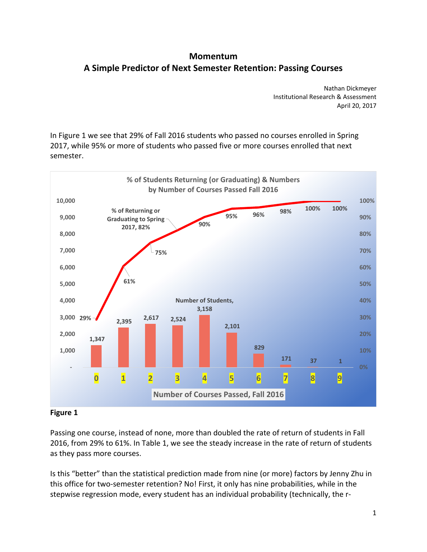# **A Simple Predictor of Next Semester Retention: Passing Courses Momentum**

 Nathan Dickmeyer Institutional Research & Assessment April 20, 2017

 In Figure 1 we see that 29% of Fall 2016 students who passed no courses enrolled in Spring 2017, while 95% or more of students who passed five or more courses enrolled that next semester.



## **Figure 1**

 Passing one course, instead of none, more than doubled the rate of return of students in Fall 2016, from 29% to 61%. In Table 1, we see the steady increase in the rate of return of students as they pass more courses.

 Is this "better" than the statistical prediction made from nine (or more) factors by Jenny Zhu in this office for two‐semester retention? No! First, it only has nine probabilities, while in the stepwise regression mode, every student has an individual probability (technically, the r‐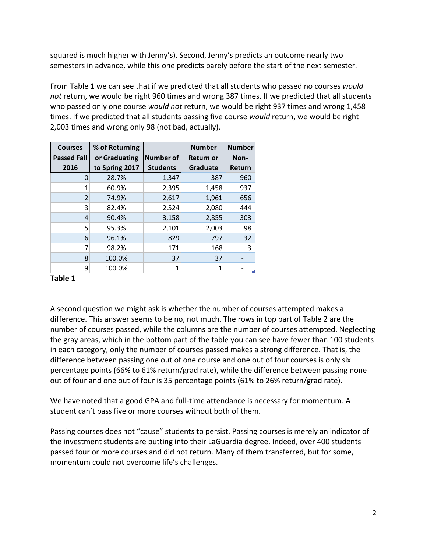squared is much higher with Jenny's). Second, Jenny's predicts an outcome nearly two semesters in advance, while this one predicts barely before the start of the next semester.

 From Table 1 we can see that if we predicted that all students who passed no courses *would not* return, we would be right 960 times and wrong 387 times. If we predicted that all students who passed only one course *would not* return, we would be right 937 times and wrong 1,458 times. If we predicted that all students passing five course *would* return, we would be right 2,003 times and wrong only 98 (not bad, actually).

| <b>Courses</b>     | % of Returning |                  | <b>Number</b>   | <b>Number</b> |
|--------------------|----------------|------------------|-----------------|---------------|
| <b>Passed Fall</b> | or Graduating  | <b>Number of</b> | Return or       | Non-          |
| 2016               | to Spring 2017 | <b>Students</b>  | <b>Graduate</b> | <b>Return</b> |
| O                  | 28.7%          | 1,347            | 387             | 960           |
| 1                  | 60.9%          | 2,395            | 1,458           | 937           |
| $\overline{2}$     | 74.9%          | 2,617            | 1,961           | 656           |
| 3                  | 82.4%          | 2,524            | 2,080           | 444           |
| 4                  | 90.4%          | 3,158            | 2,855           | 303           |
| 5                  | 95.3%          | 2,101            | 2,003           | 98            |
| 6                  | 96.1%          | 829              | 797             | 32            |
| 7                  | 98.2%          | 171              | 168             | 3             |
| 8                  | 100.0%         | 37               | 37              |               |
| ٩                  | 100.0%         | 1                | 1               |               |

## **Table 1**

 A second question we might ask is whether the number of courses attempted makes a difference. This answer seems to be no, not much. The rows in top part of Table 2 are the number of courses passed, while the columns are the number of courses attempted. Neglecting the gray areas, which in the bottom part of the table you can see have fewer than 100 students in each category, only the number of courses passed makes a strong difference. That is, the difference between passing one out of one course and one out of four courses is only six percentage points (66% to 61% return/grad rate), while the difference between passing none out of four and one out of four is 35 percentage points (61% to 26% return/grad rate).

 We have noted that a good GPA and full‐time attendance is necessary for momentum. A student can't pass five or more courses without both of them.

 Passing courses does not "cause" students to persist. Passing courses is merely an indicator of the investment students are putting into their LaGuardia degree. Indeed, over 400 students passed four or more courses and did not return. Many of them transferred, but for some, momentum could not overcome life's challenges.